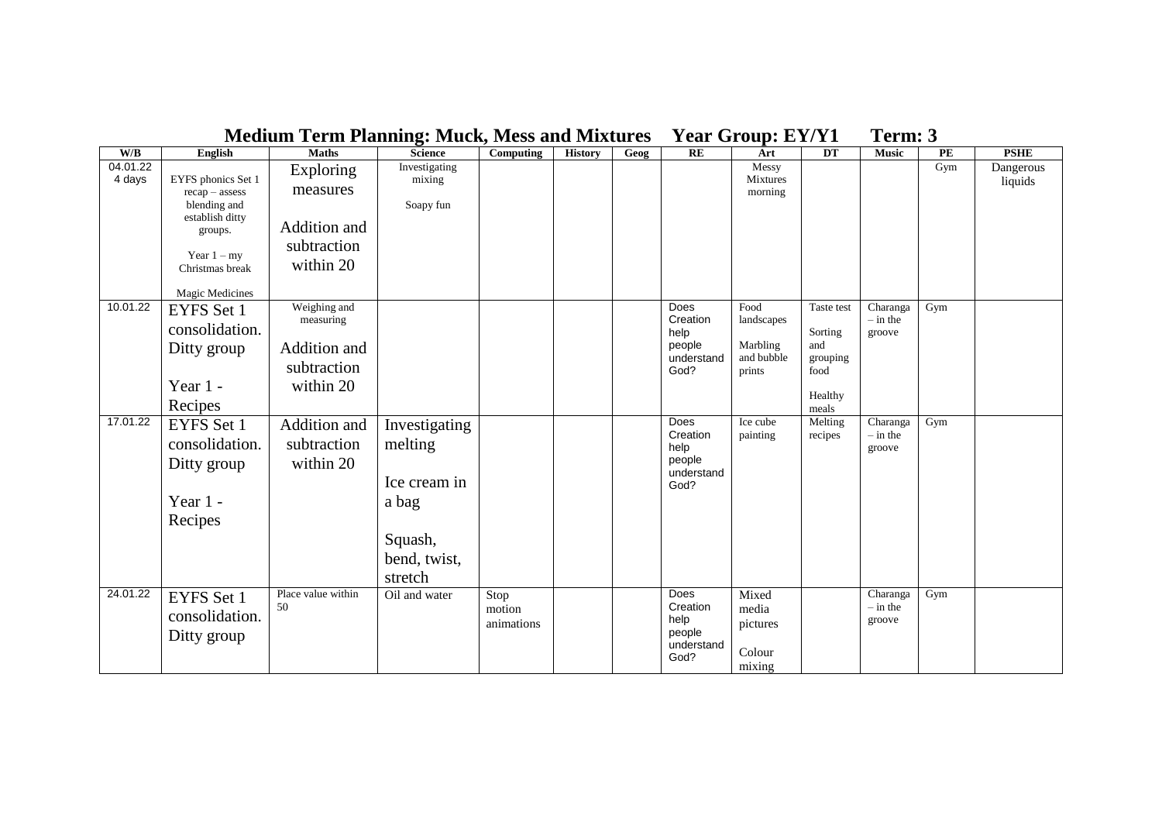|                         |                                        |                           | $    -$              |                |                |      |                         |                     |            |                        |               |             |
|-------------------------|----------------------------------------|---------------------------|----------------------|----------------|----------------|------|-------------------------|---------------------|------------|------------------------|---------------|-------------|
| $\mathbf{W}/\mathbf{B}$ | <b>English</b>                         | <b>Maths</b>              | <b>Science</b>       | Computing      | <b>History</b> | Geog | RE                      | Art                 | DT         | <b>Music</b>           | $\mathbf{PE}$ | <b>PSHE</b> |
| 04.01.22                |                                        | Exploring                 | <b>Investigating</b> |                |                |      |                         | Messy               |            |                        | Gym           | Dangerous   |
| 4 days                  | EYFS phonics Set 1<br>$recap - assess$ | measures                  | mixing               |                |                |      |                         | Mixtures<br>morning |            |                        |               | liquids     |
|                         | blending and                           |                           | Soapy fun            |                |                |      |                         |                     |            |                        |               |             |
|                         | establish ditty                        |                           |                      |                |                |      |                         |                     |            |                        |               |             |
|                         | groups.                                | Addition and              |                      |                |                |      |                         |                     |            |                        |               |             |
|                         | Year $1 - my$                          | subtraction               |                      |                |                |      |                         |                     |            |                        |               |             |
|                         | Christmas break                        | within 20                 |                      |                |                |      |                         |                     |            |                        |               |             |
|                         |                                        |                           |                      |                |                |      |                         |                     |            |                        |               |             |
|                         | Magic Medicines                        |                           |                      |                |                |      |                         |                     |            |                        |               |             |
| 10.01.22                | EYFS Set 1                             | Weighing and<br>measuring |                      |                |                |      | <b>Does</b><br>Creation | Food<br>landscapes  | Taste test | Charanga<br>$-$ in the | Gym           |             |
|                         | consolidation.                         |                           |                      |                |                |      | help                    |                     | Sorting    | groove                 |               |             |
|                         | Ditty group                            | Addition and              |                      |                |                |      | people                  | Marbling            | and        |                        |               |             |
|                         |                                        | subtraction               |                      |                |                |      | understand              | and bubble          | grouping   |                        |               |             |
|                         |                                        |                           |                      |                |                |      | God?                    | prints              | food       |                        |               |             |
|                         | Year 1 -                               | within 20                 |                      |                |                |      |                         |                     | Healthy    |                        |               |             |
|                         | Recipes                                |                           |                      |                |                |      |                         |                     | meals      |                        |               |             |
| 17.01.22                | EYFS Set 1                             | Addition and              | Investigating        |                |                |      | <b>Does</b>             | Ice cube            | Melting    | Charanga               | Gym           |             |
|                         | consolidation.                         | subtraction               | melting              |                |                |      | Creation<br>help        | painting            | recipes    | $-$ in the<br>groove   |               |             |
|                         | Ditty group                            | within 20                 |                      |                |                |      | people                  |                     |            |                        |               |             |
|                         |                                        |                           |                      |                |                |      | understand              |                     |            |                        |               |             |
|                         |                                        |                           | Ice cream in         |                |                |      | God?                    |                     |            |                        |               |             |
|                         | Year 1 -                               |                           | a bag                |                |                |      |                         |                     |            |                        |               |             |
|                         | Recipes                                |                           |                      |                |                |      |                         |                     |            |                        |               |             |
|                         |                                        |                           | Squash,              |                |                |      |                         |                     |            |                        |               |             |
|                         |                                        |                           | bend, twist,         |                |                |      |                         |                     |            |                        |               |             |
|                         |                                        |                           |                      |                |                |      |                         |                     |            |                        |               |             |
|                         |                                        | Place value within        | stretch              |                |                |      |                         |                     |            |                        |               |             |
| 24.01.22                | <b>EYFS</b> Set 1                      | 50                        | Oil and water        | Stop<br>motion |                |      | <b>Does</b><br>Creation | Mixed<br>media      |            | Charanga<br>$-$ in the | Gym           |             |
|                         | consolidation.                         |                           |                      | animations     |                |      | help                    | pictures            |            | groove                 |               |             |
|                         | Ditty group                            |                           |                      |                |                |      | people                  |                     |            |                        |               |             |
|                         |                                        |                           |                      |                |                |      | understand<br>God?      | Colour              |            |                        |               |             |
|                         |                                        |                           |                      |                |                |      |                         | mixing              |            |                        |               |             |

## **Medium Term Planning: Muck, Mess and Mixtures Year Group: EY/Y1 Term: 3**